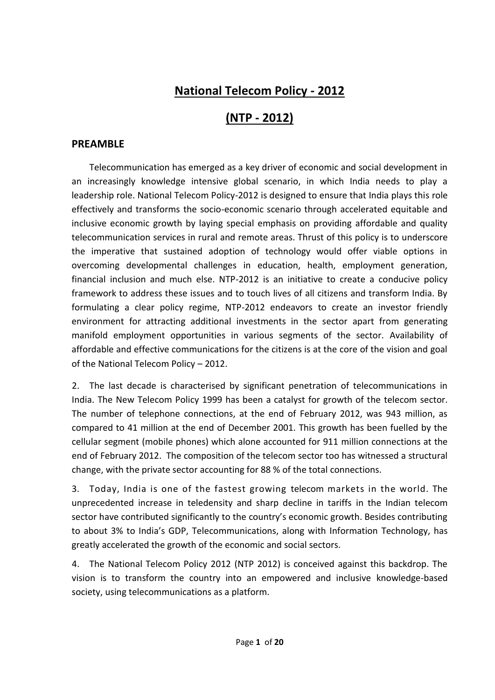# **National Telecom Policy - 2012**

# **(NTP - 2012)**

### **PREAMBLE**

Telecommunication has emerged as a key driver of economic and social development in an increasingly knowledge intensive global scenario, in which India needs to play a leadership role. National Telecom Policy-2012 is designed to ensure that India plays this role effectively and transforms the socio-economic scenario through accelerated equitable and inclusive economic growth by laying special emphasis on providing affordable and quality telecommunication services in rural and remote areas. Thrust of this policy is to underscore the imperative that sustained adoption of technology would offer viable options in overcoming developmental challenges in education, health, employment generation, financial inclusion and much else. NTP-2012 is an initiative to create a conducive policy framework to address these issues and to touch lives of all citizens and transform India. By formulating a clear policy regime, NTP-2012 endeavors to create an investor friendly environment for attracting additional investments in the sector apart from generating manifold employment opportunities in various segments of the sector. Availability of affordable and effective communications for the citizens is at the core of the vision and goal of the National Telecom Policy – 2012.

2. The last decade is characterised by significant penetration of telecommunications in India. The New Telecom Policy 1999 has been a catalyst for growth of the telecom sector. The number of telephone connections, at the end of February 2012, was 943 million, as compared to 41 million at the end of December 2001. This growth has been fuelled by the cellular segment (mobile phones) which alone accounted for 911 million connections at the end of February 2012. The composition of the telecom sector too has witnessed a structural change, with the private sector accounting for 88 % of the total connections.

3. Today, India is one of the fastest growing telecom markets in the world. The unprecedented increase in teledensity and sharp decline in tariffs in the Indian telecom sector have contributed significantly to the country's economic growth. Besides contributing to about 3% to India's GDP, Telecommunications, along with Information Technology, has greatly accelerated the growth of the economic and social sectors.

4. The National Telecom Policy 2012 (NTP 2012) is conceived against this backdrop. The vision is to transform the country into an empowered and inclusive knowledge-based society, using telecommunications as a platform.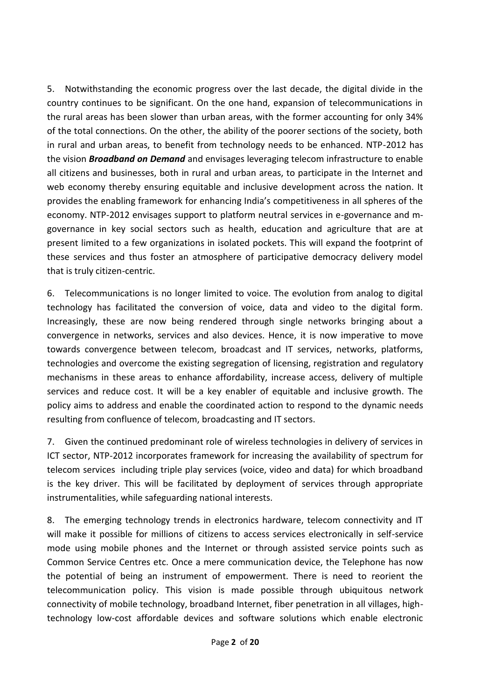5. Notwithstanding the economic progress over the last decade, the digital divide in the country continues to be significant. On the one hand, expansion of telecommunications in the rural areas has been slower than urban areas, with the former accounting for only 34% of the total connections. On the other, the ability of the poorer sections of the society, both in rural and urban areas, to benefit from technology needs to be enhanced. NTP-2012 has the vision *Broadband on Demand* and envisages leveraging telecom infrastructure to enable all citizens and businesses, both in rural and urban areas, to participate in the Internet and web economy thereby ensuring equitable and inclusive development across the nation. It provides the enabling framework for enhancing India's competitiveness in all spheres of the economy. NTP-2012 envisages support to platform neutral services in e-governance and mgovernance in key social sectors such as health, education and agriculture that are at present limited to a few organizations in isolated pockets. This will expand the footprint of these services and thus foster an atmosphere of participative democracy delivery model that is truly citizen-centric.

6. Telecommunications is no longer limited to voice. The evolution from analog to digital technology has facilitated the conversion of voice, data and video to the digital form. Increasingly, these are now being rendered through single networks bringing about a convergence in networks, services and also devices. Hence, it is now imperative to move towards convergence between telecom, broadcast and IT services, networks, platforms, technologies and overcome the existing segregation of licensing, registration and regulatory mechanisms in these areas to enhance affordability, increase access, delivery of multiple services and reduce cost. It will be a key enabler of equitable and inclusive growth. The policy aims to address and enable the coordinated action to respond to the dynamic needs resulting from confluence of telecom, broadcasting and IT sectors.

7. Given the continued predominant role of wireless technologies in delivery of services in ICT sector, NTP-2012 incorporates framework for increasing the availability of spectrum for telecom services including triple play services (voice, video and data) for which broadband is the key driver. This will be facilitated by deployment of services through appropriate instrumentalities, while safeguarding national interests.

8. The emerging technology trends in electronics hardware, telecom connectivity and IT will make it possible for millions of citizens to access services electronically in self-service mode using mobile phones and the Internet or through assisted service points such as Common Service Centres etc. Once a mere communication device, the Telephone has now the potential of being an instrument of empowerment. There is need to reorient the telecommunication policy. This vision is made possible through ubiquitous network connectivity of mobile technology, broadband Internet, fiber penetration in all villages, hightechnology low-cost affordable devices and software solutions which enable electronic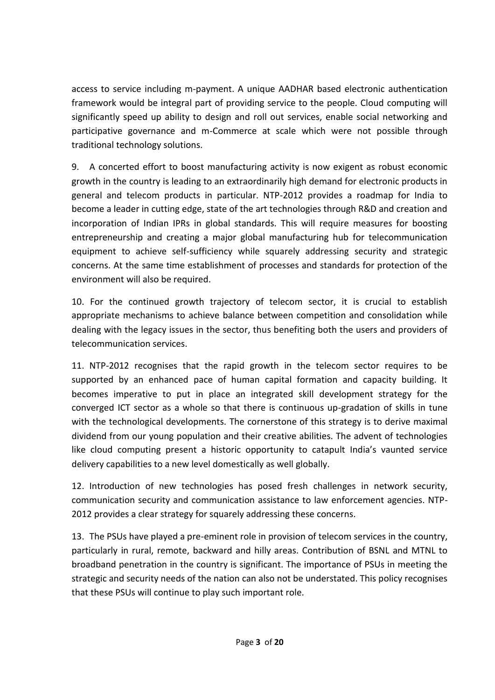access to service including m-payment. A unique AADHAR based electronic authentication framework would be integral part of providing service to the people. Cloud computing will significantly speed up ability to design and roll out services, enable social networking and participative governance and m-Commerce at scale which were not possible through traditional technology solutions.

9. A concerted effort to boost manufacturing activity is now exigent as robust economic growth in the country is leading to an extraordinarily high demand for electronic products in general and telecom products in particular. NTP-2012 provides a roadmap for India to become a leader in cutting edge, state of the art technologies through R&D and creation and incorporation of Indian IPRs in global standards. This will require measures for boosting entrepreneurship and creating a major global manufacturing hub for telecommunication equipment to achieve self-sufficiency while squarely addressing security and strategic concerns. At the same time establishment of processes and standards for protection of the environment will also be required.

10. For the continued growth trajectory of telecom sector, it is crucial to establish appropriate mechanisms to achieve balance between competition and consolidation while dealing with the legacy issues in the sector, thus benefiting both the users and providers of telecommunication services.

11. NTP-2012 recognises that the rapid growth in the telecom sector requires to be supported by an enhanced pace of human capital formation and capacity building. It becomes imperative to put in place an integrated skill development strategy for the converged ICT sector as a whole so that there is continuous up-gradation of skills in tune with the technological developments. The cornerstone of this strategy is to derive maximal dividend from our young population and their creative abilities. The advent of technologies like cloud computing present a historic opportunity to catapult India's vaunted service delivery capabilities to a new level domestically as well globally.

12. Introduction of new technologies has posed fresh challenges in network security, communication security and communication assistance to law enforcement agencies. NTP-2012 provides a clear strategy for squarely addressing these concerns.

13. The PSUs have played a pre-eminent role in provision of telecom services in the country, particularly in rural, remote, backward and hilly areas. Contribution of BSNL and MTNL to broadband penetration in the country is significant. The importance of PSUs in meeting the strategic and security needs of the nation can also not be understated. This policy recognises that these PSUs will continue to play such important role.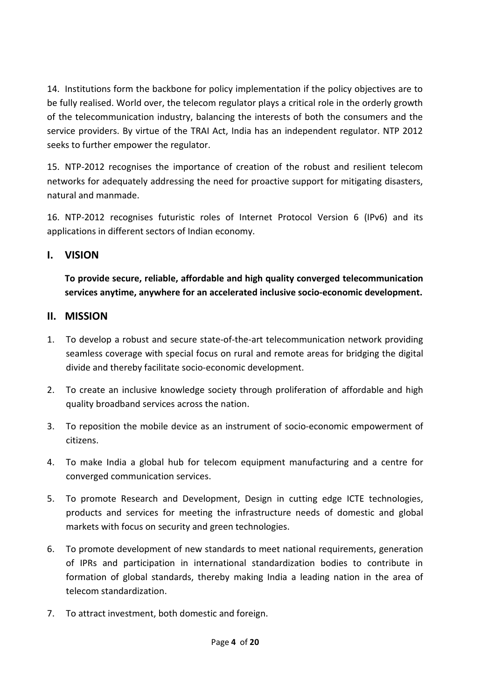14. Institutions form the backbone for policy implementation if the policy objectives are to be fully realised. World over, the telecom regulator plays a critical role in the orderly growth of the telecommunication industry, balancing the interests of both the consumers and the service providers. By virtue of the TRAI Act, India has an independent regulator. NTP 2012 seeks to further empower the regulator.

15. NTP-2012 recognises the importance of creation of the robust and resilient telecom networks for adequately addressing the need for proactive support for mitigating disasters, natural and manmade.

16. NTP-2012 recognises futuristic roles of Internet Protocol Version 6 (IPv6) and its applications in different sectors of Indian economy.

# **I. VISION**

**To provide secure, reliable, affordable and high quality converged telecommunication services anytime, anywhere for an accelerated inclusive socio-economic development.**

# **II. MISSION**

- 1. To develop a robust and secure state-of-the-art telecommunication network providing seamless coverage with special focus on rural and remote areas for bridging the digital divide and thereby facilitate socio-economic development.
- 2. To create an inclusive knowledge society through proliferation of affordable and high quality broadband services across the nation.
- 3. To reposition the mobile device as an instrument of socio-economic empowerment of citizens.
- 4. To make India a global hub for telecom equipment manufacturing and a centre for converged communication services.
- 5. To promote Research and Development, Design in cutting edge ICTE technologies, products and services for meeting the infrastructure needs of domestic and global markets with focus on security and green technologies.
- 6. To promote development of new standards to meet national requirements, generation of IPRs and participation in international standardization bodies to contribute in formation of global standards, thereby making India a leading nation in the area of telecom standardization.
- 7. To attract investment, both domestic and foreign.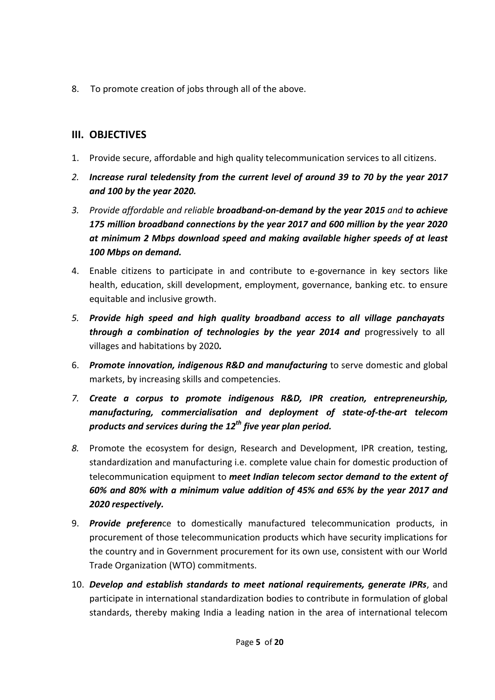8. To promote creation of jobs through all of the above.

# **III. OBJECTIVES**

- 1. Provide secure, affordable and high quality telecommunication services to all citizens.
- *2. Increase rural teledensity from the current level of around 39 to 70 by the year 2017 and 100 by the year 2020.*
- *3. Provide affordable and reliable broadband-on-demand by the year 2015 and to achieve 175 million broadband connections by the year 2017 and 600 million by the year 2020 at minimum 2 Mbps download speed and making available higher speeds of at least 100 Mbps on demand.*
- 4. Enable citizens to participate in and contribute to e-governance in key sectors like health, education, skill development, employment, governance, banking etc. to ensure equitable and inclusive growth.
- *5. Provide high speed and high quality broadband access to all village panchayats through a combination of technologies by the year 2014 and* progressively to all villages and habitations by 2020*.*
- 6. *Promote innovation, indigenous R&D and manufacturing* to serve domestic and global markets, by increasing skills and competencies.
- *7. Create a corpus to promote indigenous R&D, IPR creation, entrepreneurship, manufacturing, commercialisation and deployment of state-of-the-art telecom products and services during the 12th five year plan period.*
- *8.* Promote the ecosystem for design, Research and Development, IPR creation, testing, standardization and manufacturing i.e. complete value chain for domestic production of telecommunication equipment to *meet Indian telecom sector demand to the extent of 60% and 80% with a minimum value addition of 45% and 65% by the year 2017 and 2020 respectively.*
- 9. *Provide preferen*ce to domestically manufactured telecommunication products, in procurement of those telecommunication products which have security implications for the country and in Government procurement for its own use, consistent with our World Trade Organization (WTO) commitments.
- 10. *Develop and establish standards to meet national requirements, generate IPRs*, and participate in international standardization bodies to contribute in formulation of global standards, thereby making India a leading nation in the area of international telecom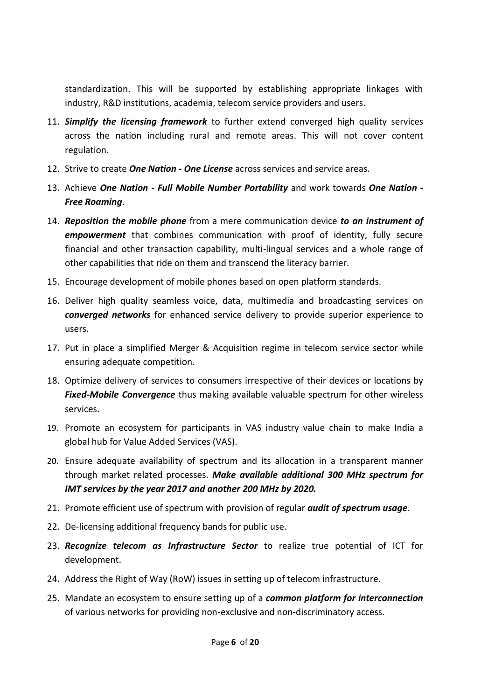standardization. This will be supported by establishing appropriate linkages with industry, R&D institutions, academia, telecom service providers and users.

- 11. *Simplify the licensing framework* to further extend converged high quality services across the nation including rural and remote areas. This will not cover content regulation.
- 12. Strive to create *One Nation - One License* across services and service areas.
- 13. Achieve *One Nation - Full Mobile Number Portability* and work towards *One Nation - Free Roaming*.
- 14. *Reposition the mobile phone* from a mere communication device *to an instrument of empowerment* that combines communication with proof of identity, fully secure financial and other transaction capability, multi-lingual services and a whole range of other capabilities that ride on them and transcend the literacy barrier.
- 15. Encourage development of mobile phones based on open platform standards.
- 16. Deliver high quality seamless voice, data, multimedia and broadcasting services on *converged networks* for enhanced service delivery to provide superior experience to users.
- 17. Put in place a simplified Merger & Acquisition regime in telecom service sector while ensuring adequate competition.
- 18. Optimize delivery of services to consumers irrespective of their devices or locations by *Fixed-Mobile Convergence* thus making available valuable spectrum for other wireless services.
- 19. Promote an ecosystem for participants in VAS industry value chain to make India a global hub for Value Added Services (VAS).
- 20. Ensure adequate availability of spectrum and its allocation in a transparent manner through market related processes. *Make available additional [300](file:///C:/Users/SONY/Desktop/TC-meeting%2007.03.2012/additional%20spectrum.pptx) MHz spectrum for IMT services by the year 2017 and another [200](file:///C:/Users/SONY/Desktop/TC-meeting%2007.03.2012/additional%20spectrum.pptx) MHz by 2020.*
- 21. Promote efficient use of spectrum with provision of regular *audit of spectrum usage*.
- 22. De-licensing additional frequency bands for public use.
- 23. *Recognize telecom as Infrastructure Sector* to realize true potential of ICT for development.
- 24. Address the Right of Way (RoW) issues in setting up of telecom infrastructure.
- 25. Mandate an ecosystem to ensure setting up of a *common platform for interconnection* of various networks for providing non-exclusive and non-discriminatory access.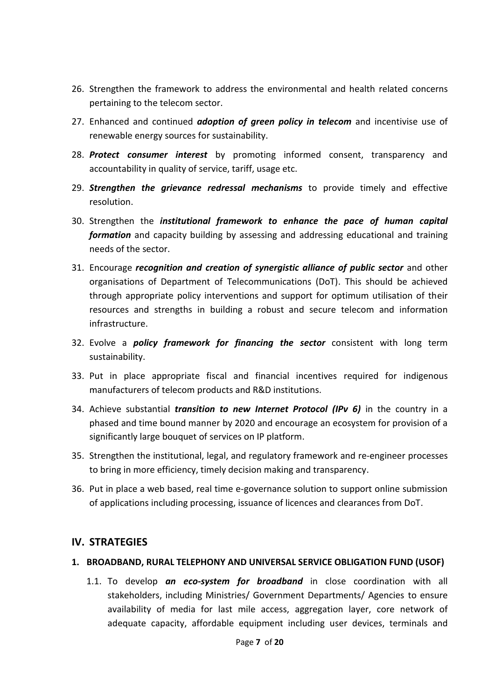- 26. Strengthen the framework to address the environmental and health related concerns pertaining to the telecom sector.
- 27. Enhanced and continued *adoption of green policy in telecom* and incentivise use of renewable energy sources for sustainability.
- 28. *Protect consumer interest* by promoting informed consent, transparency and accountability in quality of service, tariff, usage etc.
- 29. *Strengthen the grievance redressal mechanisms* to provide timely and effective resolution.
- 30. Strengthen the *institutional framework to enhance the pace of human capital formation* and capacity building by assessing and addressing educational and training needs of the sector.
- 31. Encourage *recognition and creation of synergistic alliance of public sector* and other organisations of Department of Telecommunications (DoT). This should be achieved through appropriate policy interventions and support for optimum utilisation of their resources and strengths in building a robust and secure telecom and information infrastructure.
- 32. Evolve a *policy framework for financing the sector* consistent with long term sustainability.
- 33. Put in place appropriate fiscal and financial incentives required for indigenous manufacturers of telecom products and R&D institutions.
- 34. Achieve substantial *transition to new Internet Protocol (IPv 6)* in the country in a phased and time bound manner by 2020 and encourage an ecosystem for provision of a significantly large bouquet of services on IP platform.
- 35. Strengthen the institutional, legal, and regulatory framework and re-engineer processes to bring in more efficiency, timely decision making and transparency.
- 36. Put in place a web based, real time e-governance solution to support online submission of applications including processing, issuance of licences and clearances from DoT.

# **IV. STRATEGIES**

### **1. BROADBAND, RURAL TELEPHONY AND UNIVERSAL SERVICE OBLIGATION FUND (USOF)**

1.1. To develop *an eco-system for broadband* in close coordination with all stakeholders, including Ministries/ Government Departments/ Agencies to ensure availability of media for last mile access, aggregation layer, core network of adequate capacity, affordable equipment including user devices, terminals and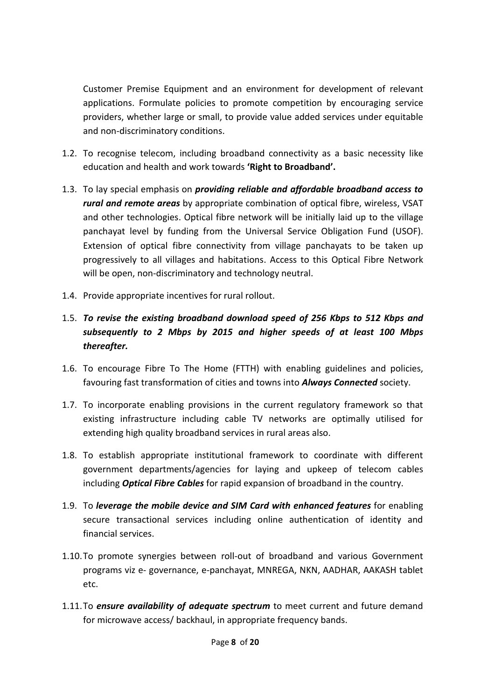Customer Premise Equipment and an environment for development of relevant applications. Formulate policies to promote competition by encouraging service providers, whether large or small, to provide value added services under equitable and non-discriminatory conditions.

- 1.2. To recognise telecom, including broadband connectivity as a basic necessity like education and health and work towards **'Right to Broadband'.**
- 1.3. To lay special emphasis on *providing reliable and affordable broadband access to rural and remote areas* by appropriate combination of optical fibre, wireless, [VSAT](file:///C:/Users/SONY/Desktop/TC-meeting%2007.03.2012/vsat.pptx) and other technologies. Optical fibre network will be initially laid up to the village panchayat level by funding from the Universal Service Obligation Fund (USOF). Extension of optical fibre connectivity from village panchayats to be taken up progressively to all villages and habitations. Access to this Optical Fibre Network will be open, non-discriminatory and technology neutral.
- 1.4. [Provide appropriate incentives for rural rollout.](file:///C:/Users/SONY/Desktop/TC-meeting%2007.03.2012/rural%20rollout.pptx)
- 1.5. *To revise the existing broadband download speed of 256 Kbps to 512 Kbps and subsequently to 2 Mbps by 2015 and higher speeds of at least 100 Mbps thereafter.*
- 1.6. To encourage Fibre To The Home (FTTH) with enabling guidelines and policies, favouring fast transformation of cities and towns into *Always Connected* society.
- 1.7. To incorporate enabling provisions in the current regulatory framework so that existing infrastructure including cable TV networks are optimally utilised for extending high quality broadband services in rural areas also.
- 1.8. To establish appropriate institutional framework to coordinate with different government departments/agencies for laying and upkeep of telecom cables including *Optical Fibre Cables* for rapid expansion of broadband in the country.
- 1.9. To *leverage the mobile device and SIM Card with enhanced features* for enabling secure transactional services including online authentication of identity and financial services.
- 1.10.To promote synergies between roll-out of broadband and various Government programs viz e- governance, e-panchayat, MNREGA, NKN, AADHAR, AAKASH tablet etc.
- 1.11.To *ensure availability of adequate spectrum* to meet current and future demand for microwave access/ backhaul, in appropriate frequency bands.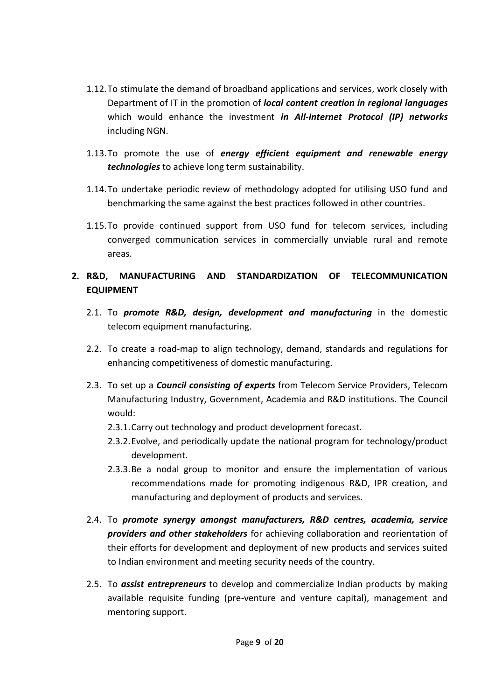- 1.12.To stimulate the demand of broadband applications and services, work closely with Department of IT in the promotion of *local content creation in regional languages* which would enhance the investment *in All-Internet Protocol (IP) networks* including NGN.
- 1.13.To promote the use of *energy efficient equipment and renewable energy technologies* to achieve long term sustainability.
- 1.14.To undertake periodic review of methodology adopted for utilising USO fund and benchmarking the same against the best practices followed in other countries.
- 1.15.To provide continued support from USO fund for telecom services, including converged communication services in commercially unviable rural and remote areas.

## **2. R&D, MANUFACTURING AND STANDARDIZATION OF TELECOMMUNICATION EQUIPMENT**

- 2.1. To *promote R&D, design, development and manufacturing* in the domestic telecom equipment manufacturing.
- 2.2. To create a road-map to align technology, demand, standards and regulations for enhancing competitiveness of domestic manufacturing.
- 2.3. To set up a *Council consisting of experts* from Telecom Service Providers, Telecom Manufacturing Industry, Government, Academia and R&D institutions. The Council would:
	- 2.3.1.Carry out technology and product development forecast.
	- 2.3.2.Evolve, and periodically update the national program for technology/product development.
	- 2.3.3.Be a nodal group to monitor and ensure the implementation of various recommendations made for promoting indigenous R&D, IPR creation, and manufacturing and deployment of products and services.
- 2.4. To *promote synergy amongst manufacturers, R&D centres, academia, service providers and other stakeholders* for achieving collaboration and reorientation of their efforts for development and deployment of new products and services suited to Indian environment and meeting security needs of the country.
- 2.5. To *assist entrepreneurs* to develop and commercialize Indian products by making available requisite funding (pre-venture and venture capital), management and mentoring support.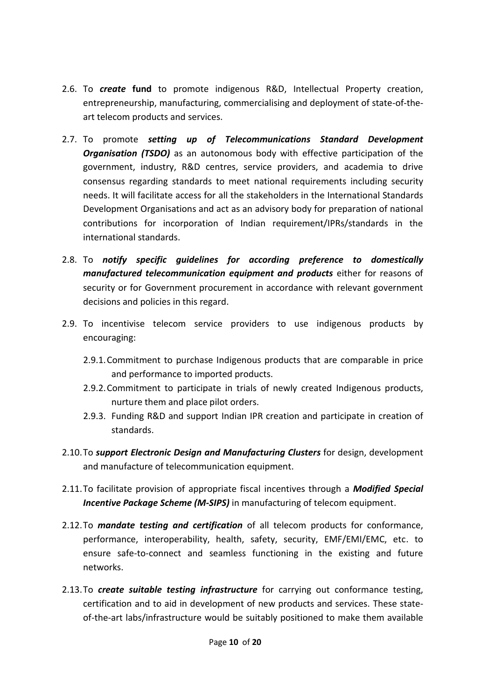- 2.6. To *create* **fund** to promote indigenous R&D, Intellectual Property creation, entrepreneurship, manufacturing, commercialising and deployment of state-of-theart telecom products and services.
- 2.7. To promote *setting up of Telecommunications Standard Development Organisation (TSDO)* as an autonomous body with effective participation of the government, industry, R&D centres, service providers, and academia to drive consensus regarding standards to meet national requirements including security needs. It will facilitate access for all the stakeholders in the International Standards Development Organisations and act as an advisory body for preparation of national contributions for incorporation of Indian requirement/IPRs/standards in the international standards.
- 2.8. To *notify specific guidelines for according preference to domestically manufactured telecommunication equipment and products* either for reasons of security or for Government procurement in accordance with relevant government decisions and policies in this regard.
- 2.9. To incentivise telecom service providers to use indigenous products by encouraging:
	- 2.9.1.Commitment to purchase Indigenous products that are comparable in price and performance to imported products.
	- 2.9.2.Commitment to participate in trials of newly created Indigenous products, nurture them and place pilot orders.
	- 2.9.3. Funding R&D and support Indian IPR creation and participate in creation of standards.
- 2.10.To *support Electronic Design and Manufacturing Clusters* for design, development and manufacture of telecommunication equipment.
- 2.11.To facilitate provision of appropriate fiscal incentives through a *Modified Special Incentive Package Scheme (M-SIPS)* in manufacturing of telecom equipment.
- 2.12.To *mandate testing and certification* of all telecom products for conformance, performance, interoperability, health, safety, security, EMF/EMI/EMC, etc. to ensure safe-to-connect and seamless functioning in the existing and future networks.
- 2.13.To *create suitable testing infrastructure* for carrying out conformance testing, certification and to aid in development of new products and services. These stateof-the-art labs/infrastructure would be suitably positioned to make them available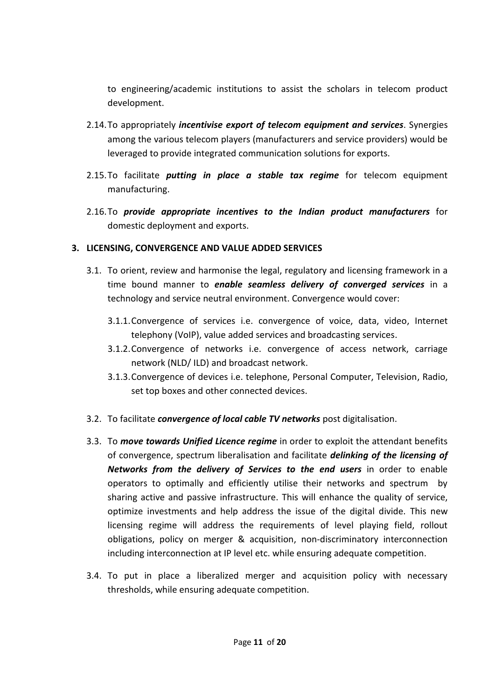to engineering/academic institutions to assist the scholars in telecom product development.

- 2.14.To appropriately *incentivise export of telecom equipment and services*. Synergies among the various telecom players (manufacturers and service providers) would be leveraged to provide integrated communication solutions for exports.
- 2.15.To facilitate *putting in place a stable tax regime* for telecom equipment manufacturing.
- 2.16.To *provide appropriate incentives to the Indian product manufacturers* for domestic deployment and exports.

### **3. LICENSING, CONVERGENCE AND VALUE ADDED SERVICES**

- 3.1. To orient, review and harmonise the legal, regulatory and licensing framework in a time bound manner to *enable seamless delivery of converged services* in a technology and service neutral environment. Convergence would cover:
	- 3.1.1.Convergence of services i.e. convergence of voice, data, video, Internet telephony (VoIP), value added services and broadcasting services.
	- 3.1.2.Convergence of networks i.e. convergence of access network, carriage network (NLD/ ILD) and broadcast network.
	- 3.1.3.Convergence of devices i.e. telephone, Personal Computer, Television, Radio, set top boxes and other connected devices.
- 3.2. To facilitate *convergence of local cable TV networks* post digitalisation.
- 3.3. To *move towards Unified Licence regime* in order to exploit the attendant benefits of convergence, spectrum liberalisation and facilitate *delinking of the licensing of Networks from the delivery of Services to the end users* in order to enable operators to optimally and efficiently utilise their networks and spectrum by sharing active and passive infrastructure. This will enhance the quality of service, optimize investments and help address the issue of the digital divide. This new licensing regime will address the requirements of level playing field, rollout obligations, policy on merger & acquisition, non-discriminatory interconnection including interconnection at IP level etc. while ensuring adequate competition.
- 3.4. To put in place a liberalized merger and acquisition policy with necessary thresholds, while ensuring adequate competition.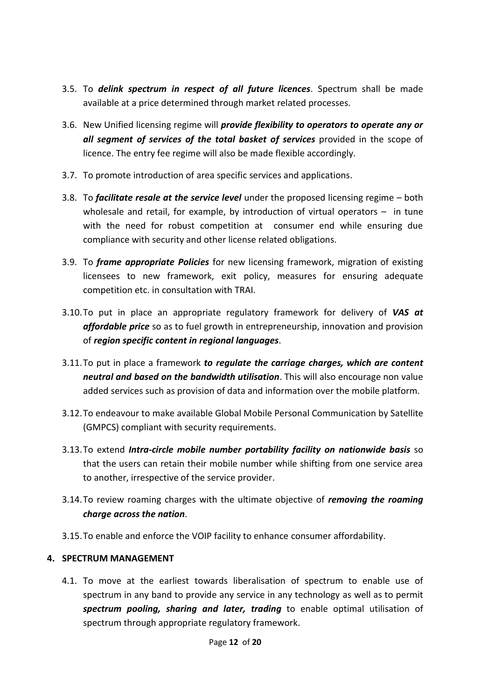- 3.5. To *delink spectrum in respect of all future licences*. Spectrum shall be made available at a price determined through market related processes.
- 3.6. New Unified licensing regime will *provide flexibility to operators to operate any or all segment of services of the total basket of services* provided in the scope of licence. The entry fee regime will also be made flexible accordingly.
- 3.7. To promote introduction of area specific services and applications.
- 3.8. To *facilitate resale at the service level* under the proposed licensing regime both wholesale and retail, for example, by introduction of virtual operators – in tune with the need for robust competition at consumer end while ensuring due compliance with security and other license related obligations.
- 3.9. To *frame appropriate Policies* for new licensing framework, migration of existing licensees to new framework, exit policy, measures for ensuring adequate competition etc. in consultation with TRAI.
- 3.10.To put in place an appropriate regulatory framework for delivery of *VAS at affordable price* so as to fuel growth in entrepreneurship, innovation and provision of *region specific content in regional languages*.
- 3.11.To put in place a framework *to regulate the carriage charges, which are content neutral and based on the bandwidth utilisation*. This will also encourage non value added services such as provision of data and information over the mobile platform.
- 3.12.To endeavour to make available Global Mobile Personal Communication by Satellite (GMPCS) compliant with security requirements.
- 3.13.To extend *Intra-circle mobile number portability facility on nationwide basis* so that the users can retain their mobile number while shifting from one service area to another, irrespective of the service provider.
- 3.14.To review roaming charges with the ultimate objective of *removing the roaming charge across the nation*.
- 3.15[.To enable and enforce the VOIP facility to enhance](file:///C:/Users/SONY/Desktop/TC-meeting%2007.03.2012/voip.pptx) consumer affordability.

### **4. SPECTRUM MANAGEMENT**

4.1. To move at the earliest towards liberalisation of spectrum to enable use of spectrum in any band to provide any service in any technology as well as to permit *spectrum pooling, sharing and later, trading* to enable optimal utilisation of spectrum through appropriate regulatory framework.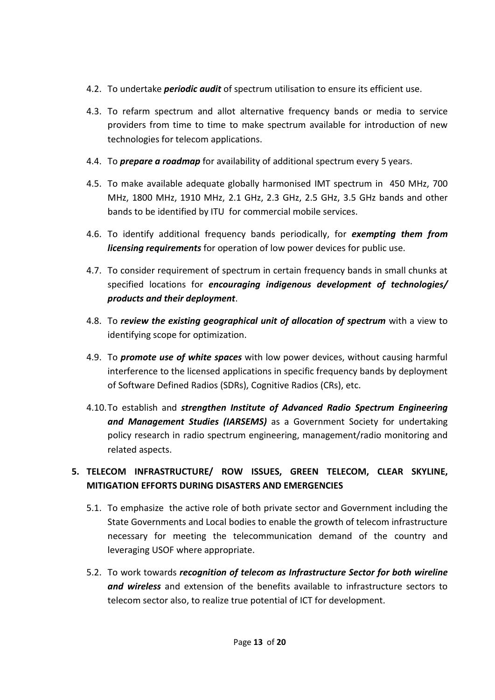- 4.2. To undertake *periodic audit* of spectrum utilisation to ensure its efficient use.
- 4.3. To refarm spectrum and allot alternative frequency bands or media to service providers from time to time to make spectrum available for introduction of new technologies for telecom applications.
- 4.4. To *prepare a roadmap* for availability of additional spectrum every 5 years.
- 4.5. To make available adequate globally harmonised IMT spectrum in 450 MHz, 700 MHz, 1800 MHz, 1910 MHz, 2.1 GHz, 2.3 GHz, 2.5 GHz, 3.5 GHz bands and other bands to be identified by ITU for commercial mobile services.
- 4.6. To identify additional frequency bands periodically, for *exempting them from licensing requirements* for operation of low power devices for public use.
- 4.7. To consider requirement of spectrum in certain frequency bands in small chunks at specified locations for *encouraging indigenous development of technologies/ products and their deployment*.
- 4.8. To *review the existing geographical unit of allocation of spectrum* with a view to identifying scope for optimization.
- 4.9. To *promote use of white spaces* with low power devices, without causing harmful interference to the licensed applications in specific frequency bands by deployment of Software Defined Radios (SDRs), Cognitive Radios (CRs), etc.
- 4.10.To establish and *strengthen Institute of Advanced Radio Spectrum Engineering and Management Studies (IARSEMS)* as a Government Society for undertaking policy research in radio spectrum engineering, management/radio monitoring and related aspects.

# **5. TELECOM INFRASTRUCTURE/ ROW ISSUES, GREEN TELECOM, CLEAR SKYLINE, MITIGATION EFFORTS DURING DISASTERS AND EMERGENCIES**

- 5.1. To emphasize the active role of both private sector and Government including the State Governments and Local bodies to enable the growth of telecom infrastructure necessary for meeting the telecommunication demand of the country and leveraging USOF where appropriate.
- 5.2. To work towards *recognition of telecom as Infrastructure Sector for both wireline and wireless* and extension of the benefits available to infrastructure sectors to telecom sector also, to realize true potential of ICT for development.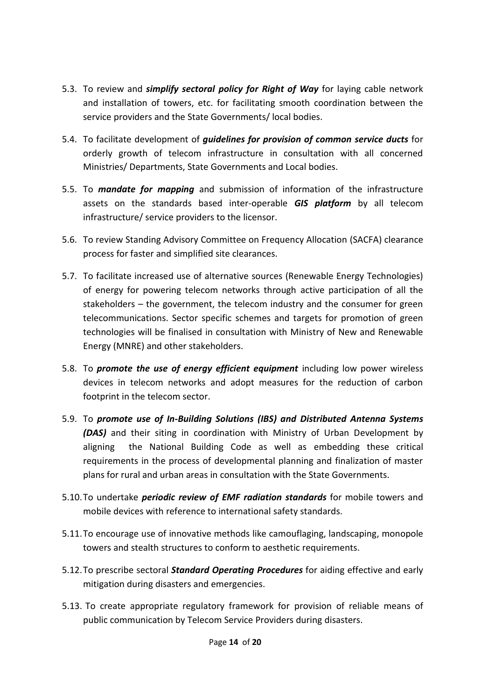- 5.3. To review and *simplify sectoral policy for Right of Way* for laying cable network and installation of towers, etc. for facilitating smooth coordination between the service providers and the State Governments/ local bodies.
- 5.4. To facilitate development of *guidelines for provision of common service ducts* for orderly growth of telecom infrastructure in consultation with all concerned Ministries/ Departments, State Governments and Local bodies.
- 5.5. To *mandate for mapping* and submission of information of the infrastructure assets on the standards based inter-operable *GIS platform* by all telecom infrastructure/ service providers to the licensor.
- 5.6. To review Standing Advisory Committee on Frequency Allocation (SACFA) clearance process for faster and simplified site clearances.
- 5.7. To facilitate increased use of alternative sources (Renewable Energy Technologies) of energy for powering telecom networks through active participation of all the stakeholders – the government, the telecom industry and the consumer for green telecommunications. Sector specific schemes and targets for promotion of green technologies will be finalised in consultation with Ministry of New and Renewable Energy (MNRE) and other stakeholders.
- 5.8. To *promote the use of energy efficient equipment* including low power wireless devices in telecom networks and adopt measures for the reduction of carbon footprint in the telecom sector.
- 5.9. To *promote use of In-Building Solutions (IBS) and Distributed Antenna Systems (DAS)* and their siting in coordination with Ministry of Urban Development by aligning the National Building Code as well as embedding these critical requirements in the process of developmental planning and finalization of master plans for rural and urban areas in consultation with the State Governments.
- 5.10.To undertake *periodic review of EMF radiation standards* for mobile towers and mobile devices with reference to international safety standards.
- 5.11.To encourage use of innovative methods like camouflaging, landscaping, monopole towers and stealth structures to conform to aesthetic requirements.
- 5.12.To prescribe sectoral *Standard Operating Procedures* for aiding effective and early mitigation during disasters and emergencies.
- 5.13. To create appropriate regulatory framework for provision of reliable means of public communication by Telecom Service Providers during disasters.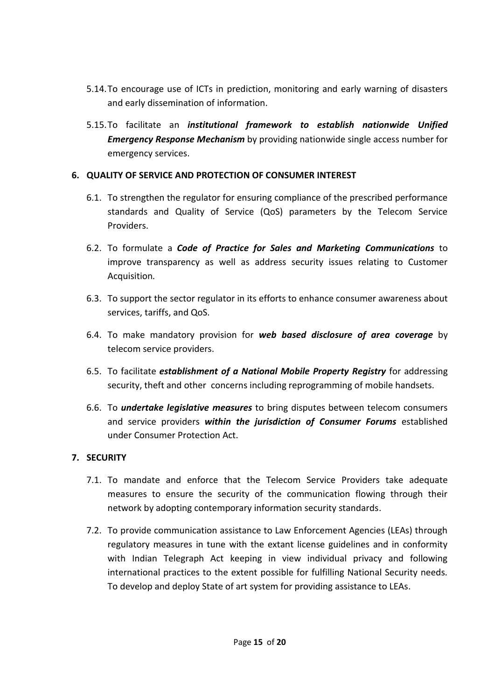- 5.14.To encourage use of ICTs in prediction, monitoring and early warning of disasters and early dissemination of information.
- 5.15.To facilitate an *institutional framework to establish nationwide Unified Emergency Response Mechanism* by providing nationwide single access number for emergency services.

### **6. QUALITY OF SERVICE AND PROTECTION OF CONSUMER INTEREST**

- 6.1. To [strengthen the regulator](file:///C:/Users/SONY/Desktop/TC-meeting%2007.03.2012/qos.pptx) for ensuring compliance of the prescribed performance standards and Quality of Service (QoS) parameters by the Telecom Service Providers.
- 6.2. To formulate a *Code of Practice for Sales and Marketing Communications* to improve transparency as well as address security issues relating to Customer Acquisition*.*
- 6.3. To support the sector regulator in its efforts to enhance consumer awareness about services, tariffs, and QoS.
- 6.4. To make mandatory provision for *web based disclosure of area coverage* by telecom service providers.
- 6.5. To facilitate *establishment of a National Mobile Property Registry* for addressing security, theft and other concerns including reprogramming of mobile handsets.
- 6.6. To *undertake legislative measures* to bring disputes between telecom consumers and service providers *within the jurisdiction of Consumer Forums* established under Consumer Protection Act.

### **7. SECURITY**

- 7.1. To mandate and enforce that the Telecom Service Providers take adequate measures to ensure the security of the communication flowing through their network by adopting contemporary information security standards.
- 7.2. To provide communication assistance to Law Enforcement Agencies (LEAs) through regulatory measures in tune with the extant license guidelines and in conformity with Indian Telegraph Act keeping in view individual privacy and following international practices to the extent possible for fulfilling National Security needs. To develop and deploy State of art system for providing assistance to LEAs.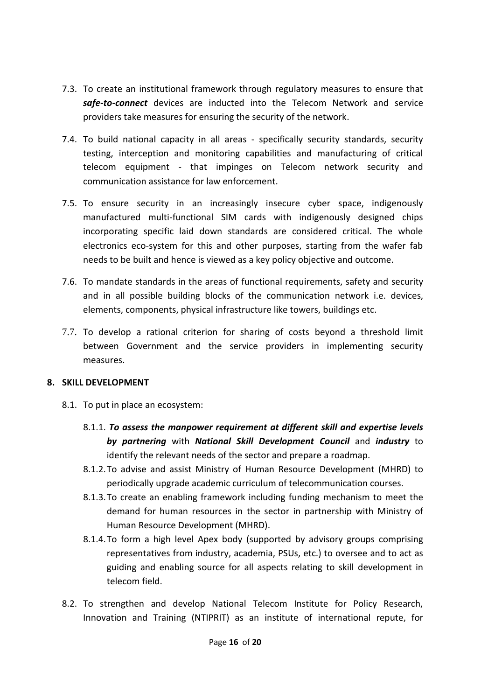- 7.3. To create an institutional framework through regulatory measures to ensure that *safe-to-connect* devices are inducted into the Telecom Network and service providers take measures for ensuring the security of the network.
- 7.4. To build national capacity in all areas specifically security standards, security testing, interception and monitoring capabilities and manufacturing of critical telecom equipment - that impinges on Telecom network security and communication assistance for law enforcement.
- 7.5. To ensure security in an increasingly insecure cyber space, indigenously manufactured multi-functional SIM cards with indigenously designed chips incorporating specific laid down standards are considered critical. The whole electronics eco-system for this and other purposes, starting from the wafer fab needs to be built and hence is viewed as a key policy objective and outcome.
- 7.6. To mandate standards in the areas of functional requirements, safety and security and in all possible building blocks of the communication network i.e. devices, elements, components, physical infrastructure like towers, buildings etc.
- 7.7. To develop a rational criterion for sharing of costs beyond a threshold limit between Government and the service providers in implementing security measures.

### **8. SKILL DEVELOPMENT**

- 8.1. To put in place an ecosystem:
	- 8.1.1. *To assess the manpower requirement at different skill and expertise levels by partnering* with *National Skill Development Council* and *industry* to identify the relevant needs of the sector and prepare a roadmap.
	- 8.1.2.To advise and assist Ministry of Human Resource Development (MHRD) to periodically upgrade academic curriculum of telecommunication courses.
	- 8.1.3.To create an enabling framework including funding mechanism to meet the demand for human resources in the sector in partnership with Ministry of Human Resource Development (MHRD).
	- 8.1.4.To form a high level Apex body (supported by advisory groups comprising representatives from industry, academia, PSUs, etc.) to oversee and to act as guiding and enabling source for all aspects relating to skill development in telecom field.
- 8.2. To strengthen and develop National Telecom Institute for Policy Research, Innovation and Training (NTIPRIT) as an institute of international repute, for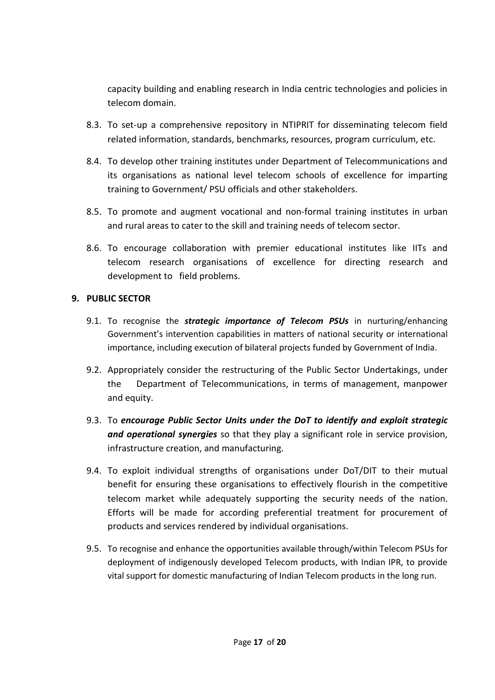capacity building and enabling research in India centric technologies and policies in telecom domain.

- 8.3. To set-up a comprehensive repository in NTIPRIT for disseminating telecom field related information, standards, benchmarks, resources, program curriculum, etc.
- 8.4. To develop other training institutes under Department of Telecommunications and its organisations as national level telecom schools of excellence for imparting training to Government/ PSU officials and other stakeholders.
- 8.5. To promote and augment vocational and non-formal training institutes in urban and rural areas to cater to the skill and training needs of telecom sector.
- 8.6. To encourage collaboration with premier educational institutes like IITs and telecom research organisations of excellence for directing research and development to field problems.

### **9. PUBLIC SECTOR**

- 9.1. To recognise the *strategic importance of Telecom PSUs* in nurturing/enhancing Government's intervention capabilities in matters of national security or international importance, including execution of bilateral projects funded by Government of India.
- 9.2. [Appropriately consider the restructuring of the Public Sector Undertakings, under](file:///C:/Users/SONY/Desktop/TC-meeting%2007.03.2012/psu.pptx)  [the Department of Telecommunications, in terms of management, manpower](file:///C:/Users/SONY/Desktop/TC-meeting%2007.03.2012/psu.pptx)  [and equity.](file:///C:/Users/SONY/Desktop/TC-meeting%2007.03.2012/psu.pptx)
- 9.3. To *encourage Public Sector Units under the DoT to identify and exploit strategic and operational synergies* so that they play a significant role in service provision, infrastructure creation, and manufacturing.
- 9.4. To exploit individual strengths of organisations under DoT/DIT to their mutual benefit for ensuring these organisations to effectively flourish in the competitive telecom market while adequately supporting the security needs of the nation. Efforts will be made for according preferential treatment for procurement of products and services rendered by individual organisations.
- 9.5. To recognise and enhance the opportunities available through/within Telecom PSUs for deployment of indigenously developed Telecom products, with Indian IPR, to provide vital support for domestic manufacturing of Indian Telecom products in the long run.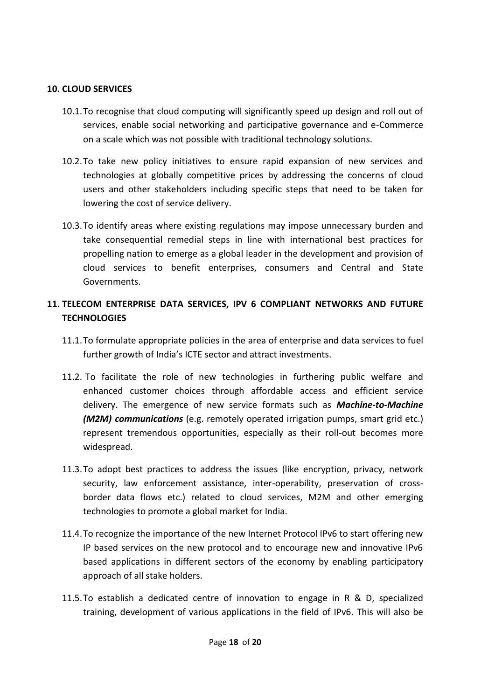#### **10. CLOUD SERVICES**

- 10.1.To recognise that cloud computing will significantly speed up design and roll out of services, enable social networking and participative governance and e-Commerce on a scale which was not possible with traditional technology solutions.
- 10.2.To take new policy initiatives to ensure rapid expansion of new services and technologies at globally competitive prices by addressing the concerns of cloud users and other stakeholders including specific steps that need to be taken for lowering the cost of service delivery.
- 10.3.To identify areas where existing regulations may impose unnecessary burden and take consequential remedial steps in line with international best practices for propelling nation to emerge as a global leader in the development and provision of cloud services to benefit enterprises, consumers and Central and State Governments.

## **11. TELECOM ENTERPRISE DATA SERVICES, IPV 6 COMPLIANT NETWORKS AND FUTURE TECHNOLOGIES**

- 11.1.To formulate appropriate policies in the area of enterprise and data services to fuel further growth of India's ICTE sector and attract investments.
- 11.2. To facilitate the role of new technologies in furthering public welfare and enhanced customer choices through affordable access and efficient service delivery. The emergence of new service formats such as *Machine-to-Machine (M2M) communications* (e.g. remotely operated irrigation pumps, smart grid etc.) represent tremendous opportunities, especially as their roll-out becomes more widespread.
- 11.3.To adopt best practices to address the issues (like encryption, privacy, network security, law enforcement assistance, inter-operability, preservation of crossborder data flows etc.) related to cloud services, M2M and other emerging technologies to promote a global market for India.
- 11.4.To recognize the importance of the new Internet Protocol IPv6 to start offering new IP based services on the new protocol and to encourage new and innovative IPv6 based applications in different sectors of the economy by enabling participatory approach of all stake holders.
- 11.5.To establish a dedicated centre of innovation to engage in R & D, specialized training, development of various applications in the field of IPv6. This will also be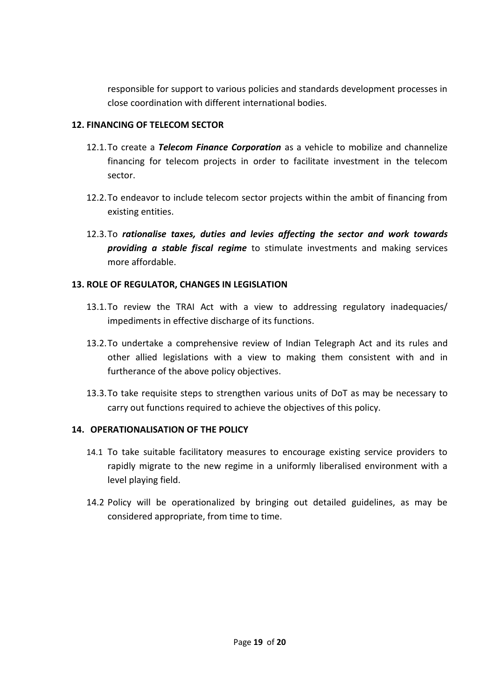responsible for support to various policies and standards development processes in close coordination with different international bodies.

### **12. FINANCING OF TELECOM SECTOR**

- 12.1.To create a *Telecom Finance Corporation* as a vehicle to mobilize and channelize financing for telecom projects in order to facilitate investment in the telecom sector.
- 12.2.To endeavor to include telecom sector projects within the ambit of financing from existing entities.
- 12.3.To *rationalise taxes, duties and levies affecting the sector and work towards providing a stable fiscal regime* to stimulate investments and making services more affordable.

### **13. ROLE OF REGULATOR, CHANGES IN LEGISLATION**

- 13.1.To review the TRAI Act with a view to addressing regulatory inadequacies/ impediments in effective discharge of its functions.
- 13.2.To undertake a comprehensive review of Indian Telegraph Act and its rules and other allied legislations with a view to making them consistent with and in furtherance of the above policy objectives.
- 13.3.To take requisite steps to strengthen various units of DoT as may be necessary to carry out functions required to achieve the objectives of this policy.

### **14. OPERATIONALISATION OF THE POLICY**

- 14.1 To take suitable facilitatory measures to encourage existing service providers to rapidly migrate to the new regime in a uniformly liberalised environment with a level playing field.
- 14.2 Policy will be operationalized by bringing out detailed guidelines, as may be considered appropriate, from time to time.